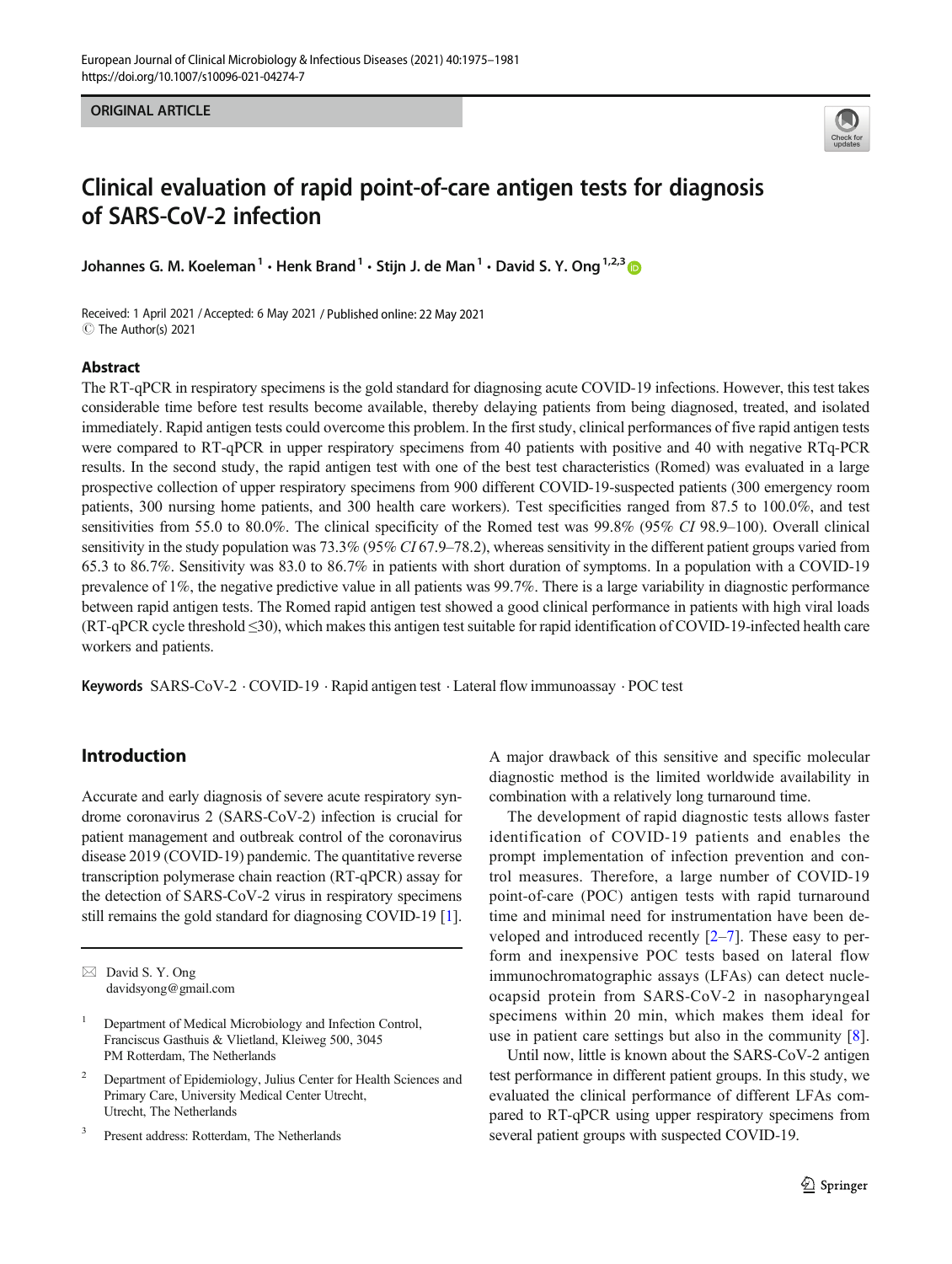ORIGINAL ARTICLE



# Clinical evaluation of rapid point-of-care antigen tests for diagnosis of SARS-CoV-2 infection

Johannes G. M. Koeleman<sup>1</sup>  $\cdot$  Henk Brand<sup>1</sup>  $\cdot$  Stijn J. de Man<sup>1</sup>  $\cdot$  David S. Y. Ong<sup>1,2,3</sup>

Received: 1 April 2021 /Accepted: 6 May 2021 / Published online: 22 May 2021 C The Author(s) 2021

#### Abstract

The RT-qPCR in respiratory specimens is the gold standard for diagnosing acute COVID-19 infections. However, this test takes considerable time before test results become available, thereby delaying patients from being diagnosed, treated, and isolated immediately. Rapid antigen tests could overcome this problem. In the first study, clinical performances of five rapid antigen tests were compared to RT-qPCR in upper respiratory specimens from 40 patients with positive and 40 with negative RTq-PCR results. In the second study, the rapid antigen test with one of the best test characteristics (Romed) was evaluated in a large prospective collection of upper respiratory specimens from 900 different COVID-19-suspected patients (300 emergency room patients, 300 nursing home patients, and 300 health care workers). Test specificities ranged from 87.5 to 100.0%, and test sensitivities from 55.0 to 80.0%. The clinical specificity of the Romed test was 99.8% (95% CI 98.9–100). Overall clinical sensitivity in the study population was  $73.3\%$  (95% CI 67.9–78.2), whereas sensitivity in the different patient groups varied from 65.3 to 86.7%. Sensitivity was 83.0 to 86.7% in patients with short duration of symptoms. In a population with a COVID-19 prevalence of 1%, the negative predictive value in all patients was 99.7%. There is a large variability in diagnostic performance between rapid antigen tests. The Romed rapid antigen test showed a good clinical performance in patients with high viral loads (RT-qPCR cycle threshold ≤30), which makes this antigen test suitable for rapid identification of COVID-19-infected health care workers and patients.

Keywords SARS-CoV-2 . COVID-19 . Rapid antigen test . Lateral flow immunoassay . POC test

# Introduction

Accurate and early diagnosis of severe acute respiratory syndrome coronavirus 2 (SARS-CoV-2) infection is crucial for patient management and outbreak control of the coronavirus disease 2019 (COVID-19) pandemic. The quantitative reverse transcription polymerase chain reaction (RT-qPCR) assay for the detection of SARS-CoV-2 virus in respiratory specimens still remains the gold standard for diagnosing COVID-19 [[1\]](#page-5-0).

<sup>3</sup> Present address: Rotterdam, The Netherlands

A major drawback of this sensitive and specific molecular diagnostic method is the limited worldwide availability in combination with a relatively long turnaround time.

The development of rapid diagnostic tests allows faster identification of COVID-19 patients and enables the prompt implementation of infection prevention and control measures. Therefore, a large number of COVID-19 point-of-care (POC) antigen tests with rapid turnaround time and minimal need for instrumentation have been developed and introduced recently  $[2-7]$  $[2-7]$  $[2-7]$  $[2-7]$ . These easy to perform and inexpensive POC tests based on lateral flow immunochromatographic assays (LFAs) can detect nucleocapsid protein from SARS-CoV-2 in nasopharyngeal specimens within 20 min, which makes them ideal for use in patient care settings but also in the community [\[8](#page-6-0)].

Until now, little is known about the SARS-CoV-2 antigen test performance in different patient groups. In this study, we evaluated the clinical performance of different LFAs compared to RT-qPCR using upper respiratory specimens from several patient groups with suspected COVID-19.

 $\boxtimes$  David S. Y. Ong [davidsyong@gmail.com](mailto:davidsyong@gmail.com)

<sup>&</sup>lt;sup>1</sup> Department of Medical Microbiology and Infection Control, Franciscus Gasthuis & Vlietland, Kleiweg 500, 3045 PM Rotterdam, The Netherlands

<sup>2</sup> Department of Epidemiology, Julius Center for Health Sciences and Primary Care, University Medical Center Utrecht, Utrecht, The Netherlands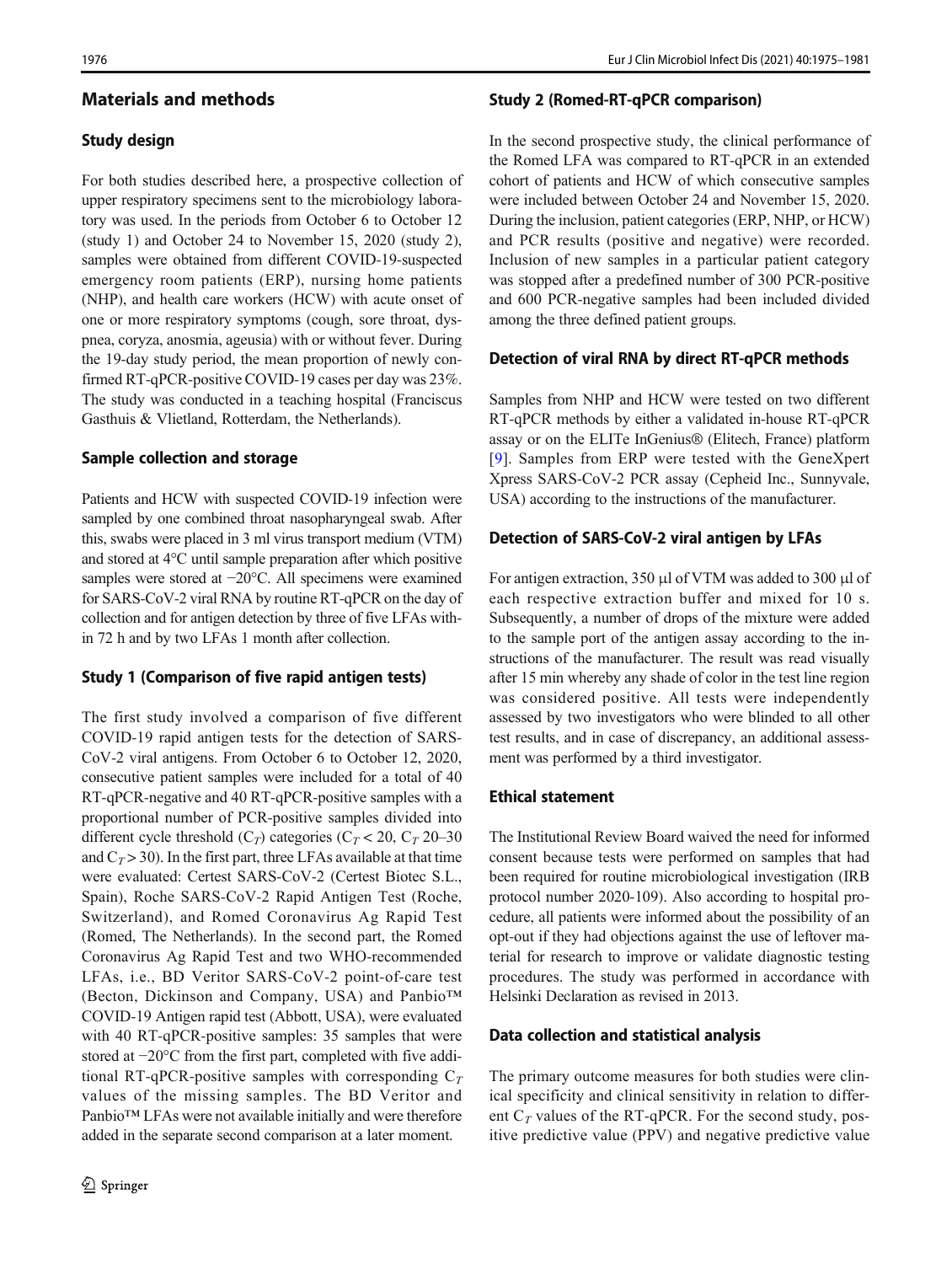# Materials and methods

#### Study design

For both studies described here, a prospective collection of upper respiratory specimens sent to the microbiology laboratory was used. In the periods from October 6 to October 12 (study 1) and October 24 to November 15, 2020 (study 2), samples were obtained from different COVID-19-suspected emergency room patients (ERP), nursing home patients (NHP), and health care workers (HCW) with acute onset of one or more respiratory symptoms (cough, sore throat, dyspnea, coryza, anosmia, ageusia) with or without fever. During the 19-day study period, the mean proportion of newly confirmed RT-qPCR-positive COVID-19 cases per day was 23%. The study was conducted in a teaching hospital (Franciscus Gasthuis & Vlietland, Rotterdam, the Netherlands).

#### Sample collection and storage

Patients and HCW with suspected COVID-19 infection were sampled by one combined throat nasopharyngeal swab. After this, swabs were placed in 3 ml virus transport medium (VTM) and stored at 4°C until sample preparation after which positive samples were stored at −20°C. All specimens were examined for SARS-CoV-2 viral RNA by routine RT-qPCR on the day of collection and for antigen detection by three of five LFAs within 72 h and by two LFAs 1 month after collection.

#### Study 1 (Comparison of five rapid antigen tests)

The first study involved a comparison of five different COVID-19 rapid antigen tests for the detection of SARS-CoV-2 viral antigens. From October 6 to October 12, 2020, consecutive patient samples were included for a total of 40 RT-qPCR-negative and 40 RT-qPCR-positive samples with a proportional number of PCR-positive samples divided into different cycle threshold  $(C_T)$  categories  $(C_T < 20, C_T 20-30)$ and  $C_T$  > 30). In the first part, three LFAs available at that time were evaluated: Certest SARS-CoV-2 (Certest Biotec S.L., Spain), Roche SARS-CoV-2 Rapid Antigen Test (Roche, Switzerland), and Romed Coronavirus Ag Rapid Test (Romed, The Netherlands). In the second part, the Romed Coronavirus Ag Rapid Test and two WHO-recommended LFAs, i.e., BD Veritor SARS-CoV-2 point-of-care test (Becton, Dickinson and Company, USA) and Panbio™ COVID-19 Antigen rapid test (Abbott, USA), were evaluated with 40 RT-qPCR-positive samples: 35 samples that were stored at −20°C from the first part, completed with five additional RT-qPCR-positive samples with corresponding  $C_T$ values of the missing samples. The BD Veritor and Panbio™ LFAs were not available initially and were therefore added in the separate second comparison at a later moment.

#### Study 2 (Romed-RT-qPCR comparison)

In the second prospective study, the clinical performance of the Romed LFA was compared to RT-qPCR in an extended cohort of patients and HCW of which consecutive samples were included between October 24 and November 15, 2020. During the inclusion, patient categories (ERP, NHP, or HCW) and PCR results (positive and negative) were recorded. Inclusion of new samples in a particular patient category was stopped after a predefined number of 300 PCR-positive and 600 PCR-negative samples had been included divided among the three defined patient groups.

#### Detection of viral RNA by direct RT-qPCR methods

Samples from NHP and HCW were tested on two different RT-qPCR methods by either a validated in-house RT-qPCR assay or on the ELITe InGenius® (Elitech, France) platform [[9\]](#page-6-0). Samples from ERP were tested with the GeneXpert Xpress SARS-CoV-2 PCR assay (Cepheid Inc., Sunnyvale, USA) according to the instructions of the manufacturer.

#### Detection of SARS-CoV-2 viral antigen by LFAs

For antigen extraction, 350 μl of VTM was added to 300 μl of each respective extraction buffer and mixed for 10 s. Subsequently, a number of drops of the mixture were added to the sample port of the antigen assay according to the instructions of the manufacturer. The result was read visually after 15 min whereby any shade of color in the test line region was considered positive. All tests were independently assessed by two investigators who were blinded to all other test results, and in case of discrepancy, an additional assessment was performed by a third investigator.

#### Ethical statement

The Institutional Review Board waived the need for informed consent because tests were performed on samples that had been required for routine microbiological investigation (IRB protocol number 2020-109). Also according to hospital procedure, all patients were informed about the possibility of an opt-out if they had objections against the use of leftover material for research to improve or validate diagnostic testing procedures. The study was performed in accordance with Helsinki Declaration as revised in 2013.

## Data collection and statistical analysis

The primary outcome measures for both studies were clinical specificity and clinical sensitivity in relation to different  $C_T$  values of the RT-qPCR. For the second study, positive predictive value (PPV) and negative predictive value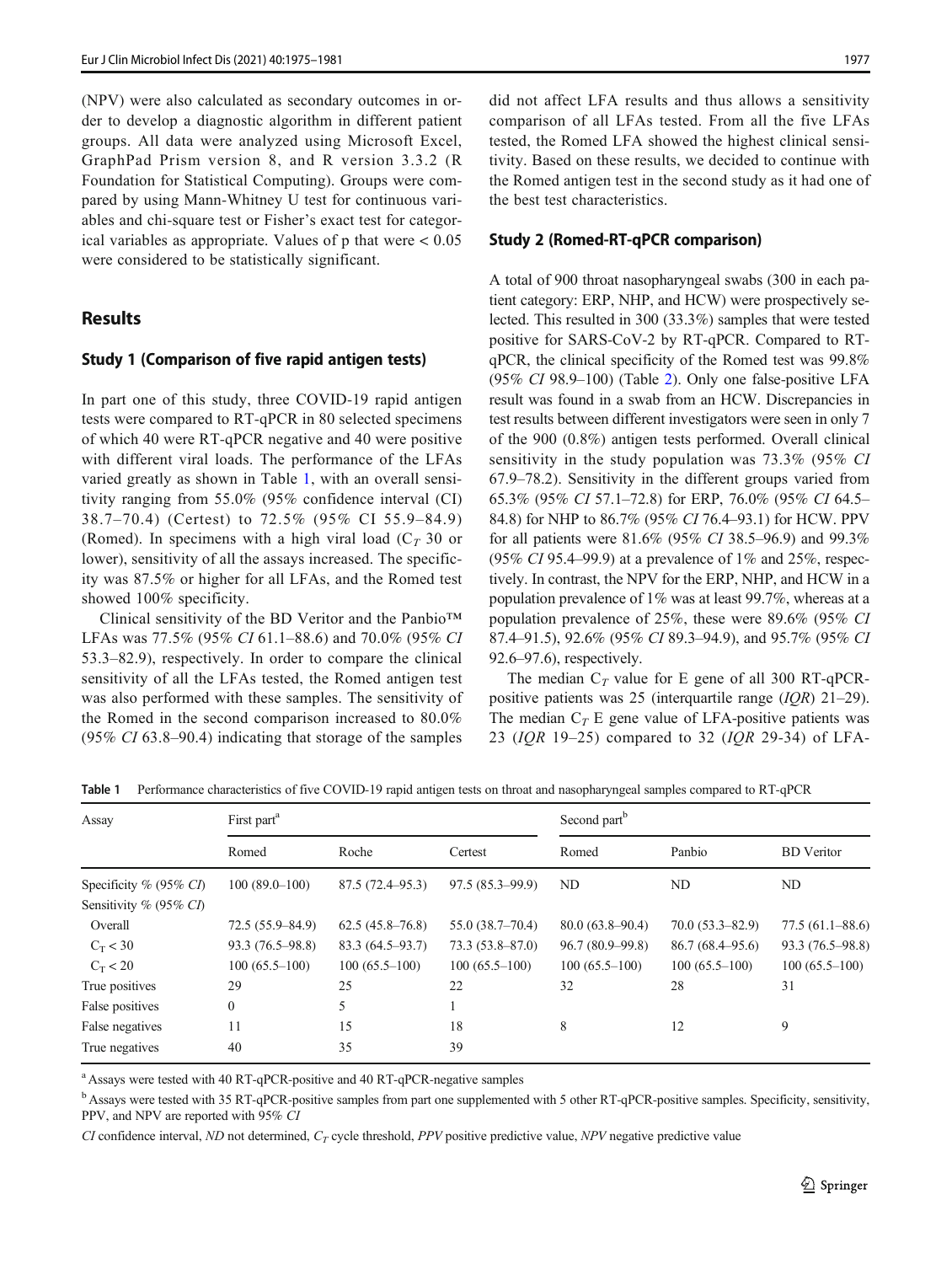(NPV) were also calculated as secondary outcomes in order to develop a diagnostic algorithm in different patient groups. All data were analyzed using Microsoft Excel, GraphPad Prism version 8, and R version 3.3.2 (R Foundation for Statistical Computing). Groups were compared by using Mann-Whitney U test for continuous variables and chi-square test or Fisher's exact test for categorical variables as appropriate. Values of p that were < 0.05 were considered to be statistically significant.

# **Results**

#### Study 1 (Comparison of five rapid antigen tests)

In part one of this study, three COVID-19 rapid antigen tests were compared to RT-qPCR in 80 selected specimens of which 40 were RT-qPCR negative and 40 were positive with different viral loads. The performance of the LFAs varied greatly as shown in Table 1, with an overall sensitivity ranging from 55.0% (95% confidence interval (CI) 38.7–70.4) (Certest) to 72.5% (95% CI 55.9–84.9) (Romed). In specimens with a high viral load ( $C_T$  30 or lower), sensitivity of all the assays increased. The specificity was 87.5% or higher for all LFAs, and the Romed test showed 100% specificity.

Clinical sensitivity of the BD Veritor and the Panbio™ LFAs was 77.5% (95% CI 61.1–88.6) and 70.0% (95% CI 53.3–82.9), respectively. In order to compare the clinical sensitivity of all the LFAs tested, the Romed antigen test was also performed with these samples. The sensitivity of the Romed in the second comparison increased to 80.0% (95% CI 63.8–90.4) indicating that storage of the samples did not affect LFA results and thus allows a sensitivity comparison of all LFAs tested. From all the five LFAs tested, the Romed LFA showed the highest clinical sensitivity. Based on these results, we decided to continue with the Romed antigen test in the second study as it had one of the best test characteristics.

#### Study 2 (Romed-RT-qPCR comparison)

A total of 900 throat nasopharyngeal swabs (300 in each patient category: ERP, NHP, and HCW) were prospectively selected. This resulted in 300 (33.3%) samples that were tested positive for SARS-CoV-2 by RT-qPCR. Compared to RTqPCR, the clinical specificity of the Romed test was 99.8% (95% CI 98.9–100) (Table [2\)](#page-3-0). Only one false-positive LFA result was found in a swab from an HCW. Discrepancies in test results between different investigators were seen in only 7 of the 900 (0.8%) antigen tests performed. Overall clinical sensitivity in the study population was 73.3% (95% CI 67.9–78.2). Sensitivity in the different groups varied from 65.3% (95% CI 57.1–72.8) for ERP, 76.0% (95% CI 64.5– 84.8) for NHP to 86.7% (95% CI 76.4–93.1) for HCW. PPV for all patients were 81.6% (95% CI 38.5–96.9) and 99.3% (95% CI 95.4–99.9) at a prevalence of 1% and 25%, respectively. In contrast, the NPV for the ERP, NHP, and HCW in a population prevalence of 1% was at least 99.7%, whereas at a population prevalence of 25%, these were 89.6% (95% CI 87.4–91.5), 92.6% (95% CI 89.3–94.9), and 95.7% (95% CI 92.6–97.6), respectively.

The median  $C_T$  value for E gene of all 300 RT-qPCRpositive patients was 25 (interquartile range (IQR) 21–29). The median  $C_T$  E gene value of LFA-positive patients was 23 ( $IQR$  19–25) compared to 32 ( $IQR$  29-34) of LFA-

| Assay                     | First part <sup>a</sup> |                     |                     | Second part <sup>b</sup> |                     |                     |
|---------------------------|-------------------------|---------------------|---------------------|--------------------------|---------------------|---------------------|
|                           | Romed                   | Roche               | Certest             | Romed                    | Panbio              | <b>BD</b> Veritor   |
| Specificity $% (95\% CI)$ | $100(89.0-100)$         | $87.5(72.4 - 95.3)$ | $97.5(85.3 - 99.9)$ | ND                       | ND                  | ND                  |
| Sensitivity % (95% CI)    |                         |                     |                     |                          |                     |                     |
| Overall                   | $72.5(55.9 - 84.9)$     | $62.5(45.8-76.8)$   | $55.0(38.7-70.4)$   | $80.0(63.8-90.4)$        | $70.0(53.3 - 82.9)$ | $77.5(61.1 - 88.6)$ |
| $C_T < 30$                | $93.3(76.5-98.8)$       | 83.3 (64.5–93.7)    | $73.3(53.8 - 87.0)$ | $96.7(80.9-99.8)$        | $86.7(68.4 - 95.6)$ | 93.3 (76.5–98.8)    |
| $C_T < 20$                | $100(65.5-100)$         | $100(65.5-100)$     | $100(65.5-100)$     | $100(65.5-100)$          | $100(65.5-100)$     | $100(65.5-100)$     |
| True positives            | 29                      | 25                  | 22                  | 32                       | 28                  | 31                  |
| False positives           | $\mathbf{0}$            | 5                   |                     |                          |                     |                     |
| False negatives           | 11                      | 15                  | 18                  | 8                        | 12                  | 9                   |
| True negatives            | 40                      | 35                  | 39                  |                          |                     |                     |

Table 1 Performance characteristics of five COVID-19 rapid antigen tests on throat and nasopharyngeal samples compared to RT-qPCR

<sup>a</sup> Assays were tested with 40 RT-qPCR-positive and 40 RT-qPCR-negative samples

<sup>b</sup> Assays were tested with 35 RT-qPCR-positive samples from part one supplemented with 5 other RT-qPCR-positive samples. Specificity, sensitivity, PPV, and NPV are reported with 95% CI

CI confidence interval, ND not determined,  $C_T$  cycle threshold, PPV positive predictive value, NPV negative predictive value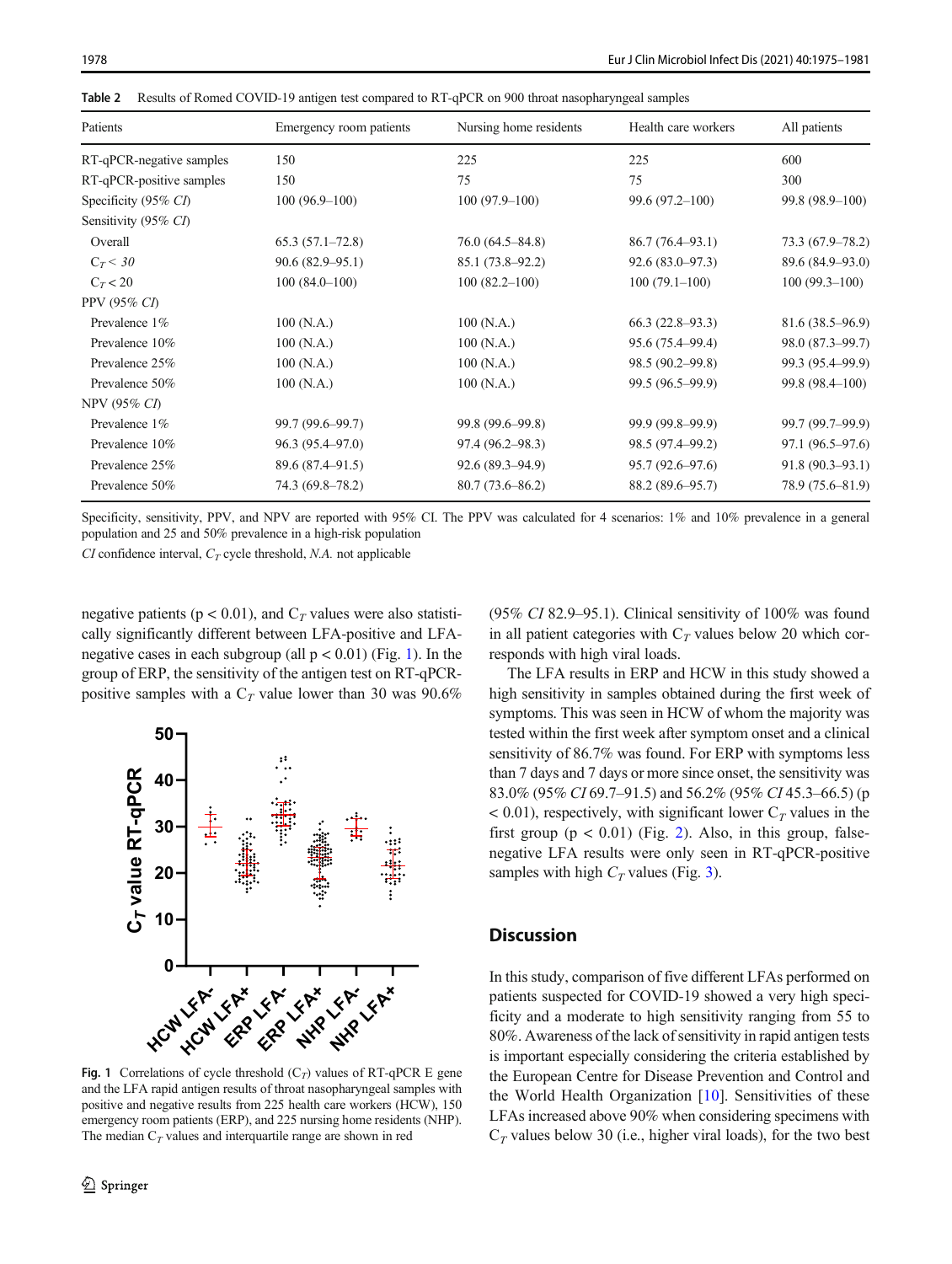| Patients                 | Emergency room patients | Nursing home residents | Health care workers | All patients        |
|--------------------------|-------------------------|------------------------|---------------------|---------------------|
| RT-qPCR-negative samples | 150                     | 225                    | 225                 | 600                 |
| RT-qPCR-positive samples | 150                     | 75                     | 75                  | 300                 |
| Specificity (95% CI)     | $100(96.9-100)$         | $100(97.9-100)$        | $99.6(97.2 - 100)$  | $99.8(98.9-100)$    |
| Sensitivity (95% CI)     |                         |                        |                     |                     |
| Overall                  | $65.3(57.1-72.8)$       | $76.0(64.5 - 84.8)$    | 86.7(76.4–93.1)     | 73.3 (67.9–78.2)    |
| $C_T < 30$               | $90.6(82.9-95.1)$       | $85.1(73.8-92.2)$      | $92.6(83.0-97.3)$   | 89.6 (84.9-93.0)    |
| $C_T < 20$               | $100(84.0-100)$         | $100(82.2 - 100)$      | $100(79.1-100)$     | $100(99.3-100)$     |
| PPV (95% CI)             |                         |                        |                     |                     |
| Prevalence 1%            | 100(N.A.)               | 100(N.A.)              | $66.3(22.8-93.3)$   | $81.6(38.5 - 96.9)$ |
| Prevalence 10%           | 100(N.A.)               | 100(N.A.)              | 95.6 (75.4–99.4)    | 98.0 (87.3–99.7)    |
| Prevalence 25%           | 100(N.A.)               | 100(N.A.)              | 98.5 (90.2–99.8)    | 99.3 (95.4-99.9)    |
| Prevalence 50%           | 100(N.A.)               | 100(N.A.)              | 99.5 (96.5-99.9)    | 99.8 (98.4–100)     |
| NPV (95% CI)             |                         |                        |                     |                     |
| Prevalence 1%            | 99.7 (99.6–99.7)        | 99.8 (99.6–99.8)       | 99.9 (99.8-99.9)    | 99.7 (99.7-99.9)    |
| Prevalence 10%           | $96.3(95.4 - 97.0)$     | $97.4(96.2 - 98.3)$    | 98.5 (97.4–99.2)    | 97.1 (96.5-97.6)    |
| Prevalence 25%           | $89.6(87.4 - 91.5)$     | $92.6(89.3 - 94.9)$    | $95.7(92.6 - 97.6)$ | $91.8(90.3 - 93.1)$ |
| Prevalence 50%           | $74.3(69.8 - 78.2)$     | $80.7(73.6 - 86.2)$    | 88.2 (89.6–95.7)    | 78.9 (75.6-81.9)    |

<span id="page-3-0"></span>Table 2 Results of Romed COVID-19 antigen test compared to RT-qPCR on 900 throat nasopharyngeal samples

Specificity, sensitivity, PPV, and NPV are reported with 95% CI. The PPV was calculated for 4 scenarios: 1% and 10% prevalence in a general population and 25 and 50% prevalence in a high-risk population

 $CI$  confidence interval,  $C_T$  cycle threshold, N.A. not applicable

negative patients ( $p < 0.01$ ), and  $C_T$  values were also statistically significantly different between LFA-positive and LFAnegative cases in each subgroup (all  $p < 0.01$ ) (Fig. 1). In the group of ERP, the sensitivity of the antigen test on RT-qPCRpositive samples with a  $C_T$  value lower than 30 was 90.6%



Fig. 1 Correlations of cycle threshold  $(C_T)$  values of RT-qPCR E gene and the LFA rapid antigen results of throat nasopharyngeal samples with positive and negative results from 225 health care workers (HCW), 150 emergency room patients (ERP), and 225 nursing home residents (NHP). The median  $C<sub>T</sub>$  values and interquartile range are shown in red

(95% CI 82.9–95.1). Clinical sensitivity of 100% was found in all patient categories with  $C_T$  values below 20 which corresponds with high viral loads.

The LFA results in ERP and HCW in this study showed a high sensitivity in samples obtained during the first week of symptoms. This was seen in HCW of whom the majority was tested within the first week after symptom onset and a clinical sensitivity of 86.7% was found. For ERP with symptoms less than 7 days and 7 days or more since onset, the sensitivity was 83.0% (95% CI 69.7–91.5) and 56.2% (95% CI 45.3–66.5) (p  $< 0.01$ ), respectively, with significant lower C<sub>T</sub> values in the first group  $(p < 0.01)$  (Fig. [2\)](#page-4-0). Also, in this group, falsenegative LFA results were only seen in RT-qPCR-positive samples with high  $C_T$  values (Fig. [3](#page-4-0)).

# **Discussion**

In this study, comparison of five different LFAs performed on patients suspected for COVID-19 showed a very high specificity and a moderate to high sensitivity ranging from 55 to 80%. Awareness of the lack of sensitivity in rapid antigen tests is important especially considering the criteria established by the European Centre for Disease Prevention and Control and the World Health Organization [\[10](#page-6-0)]. Sensitivities of these LFAs increased above 90% when considering specimens with  $C_T$  values below 30 (i.e., higher viral loads), for the two best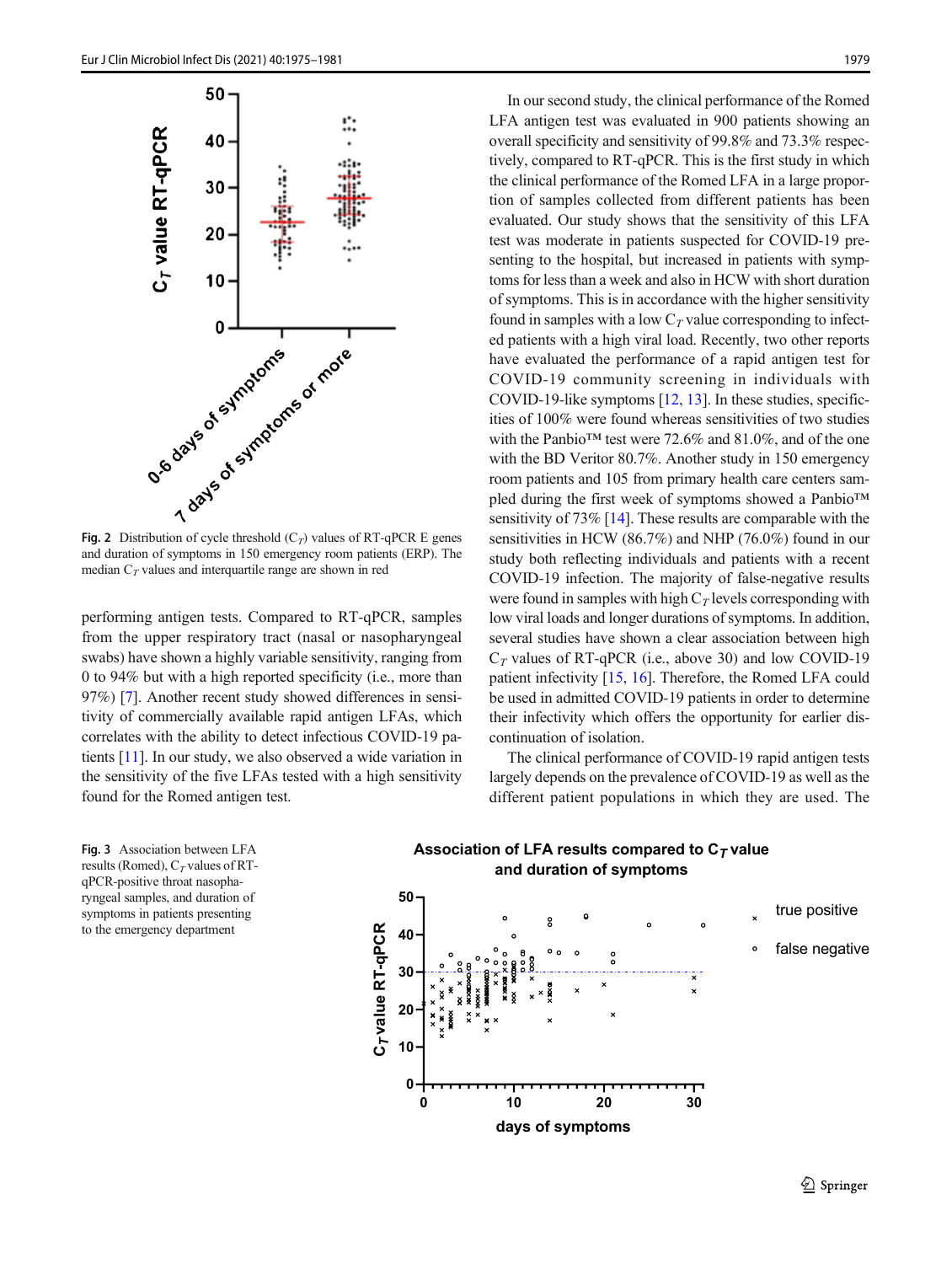<span id="page-4-0"></span>

and duration of symptoms in 150 emergency room patients (ERP). The median  $C_T$  values and interquartile range are shown in red

performing antigen tests. Compared to RT-qPCR, samples from the upper respiratory tract (nasal or nasopharyngeal swabs) have shown a highly variable sensitivity, ranging from 0 to 94% but with a high reported specificity (i.e., more than 97%) [\[7](#page-6-0)]. Another recent study showed differences in sensitivity of commercially available rapid antigen LFAs, which correlates with the ability to detect infectious COVID-19 patients [\[11](#page-6-0)]. In our study, we also observed a wide variation in the sensitivity of the five LFAs tested with a high sensitivity found for the Romed antigen test.

Fig. 3 Association between LFA results (Romed),  $C_T$  values of RTqPCR-positive throat nasopharyngeal samples, and duration of symptoms in patients presenting to the emergency department

In our second study, the clinical performance of the Romed LFA antigen test was evaluated in 900 patients showing an overall specificity and sensitivity of 99.8% and 73.3% respectively, compared to RT-qPCR. This is the first study in which the clinical performance of the Romed LFA in a large proportion of samples collected from different patients has been evaluated. Our study shows that the sensitivity of this LFA test was moderate in patients suspected for COVID-19 presenting to the hospital, but increased in patients with symptoms for less than a week and also in HCW with short duration of symptoms. This is in accordance with the higher sensitivity found in samples with a low  $C_T$  value corresponding to infected patients with a high viral load. Recently, two other reports have evaluated the performance of a rapid antigen test for COVID-19 community screening in individuals with COVID-19-like symptoms [\[12,](#page-6-0) [13](#page-6-0)]. In these studies, specificities of 100% were found whereas sensitivities of two studies with the Panbio<sup>™</sup> test were 72.6% and 81.0%, and of the one with the BD Veritor 80.7%. Another study in 150 emergency room patients and 105 from primary health care centers sampled during the first week of symptoms showed a Panbio™ sensitivity of 73% [\[14](#page-6-0)]. These results are comparable with the sensitivities in HCW (86.7%) and NHP (76.0%) found in our study both reflecting individuals and patients with a recent COVID-19 infection. The majority of false-negative results were found in samples with high  $C<sub>T</sub>$  levels corresponding with low viral loads and longer durations of symptoms. In addition, several studies have shown a clear association between high  $C_T$  values of RT-qPCR (i.e., above 30) and low COVID-19 patient infectivity [\[15,](#page-6-0) [16\]](#page-6-0). Therefore, the Romed LFA could be used in admitted COVID-19 patients in order to determine their infectivity which offers the opportunity for earlier discontinuation of isolation.

The clinical performance of COVID-19 rapid antigen tests largely depends on the prevalence of COVID-19 as well as the different patient populations in which they are used. The



# **Association of LFA results compared to C***<sup>T</sup>* **value**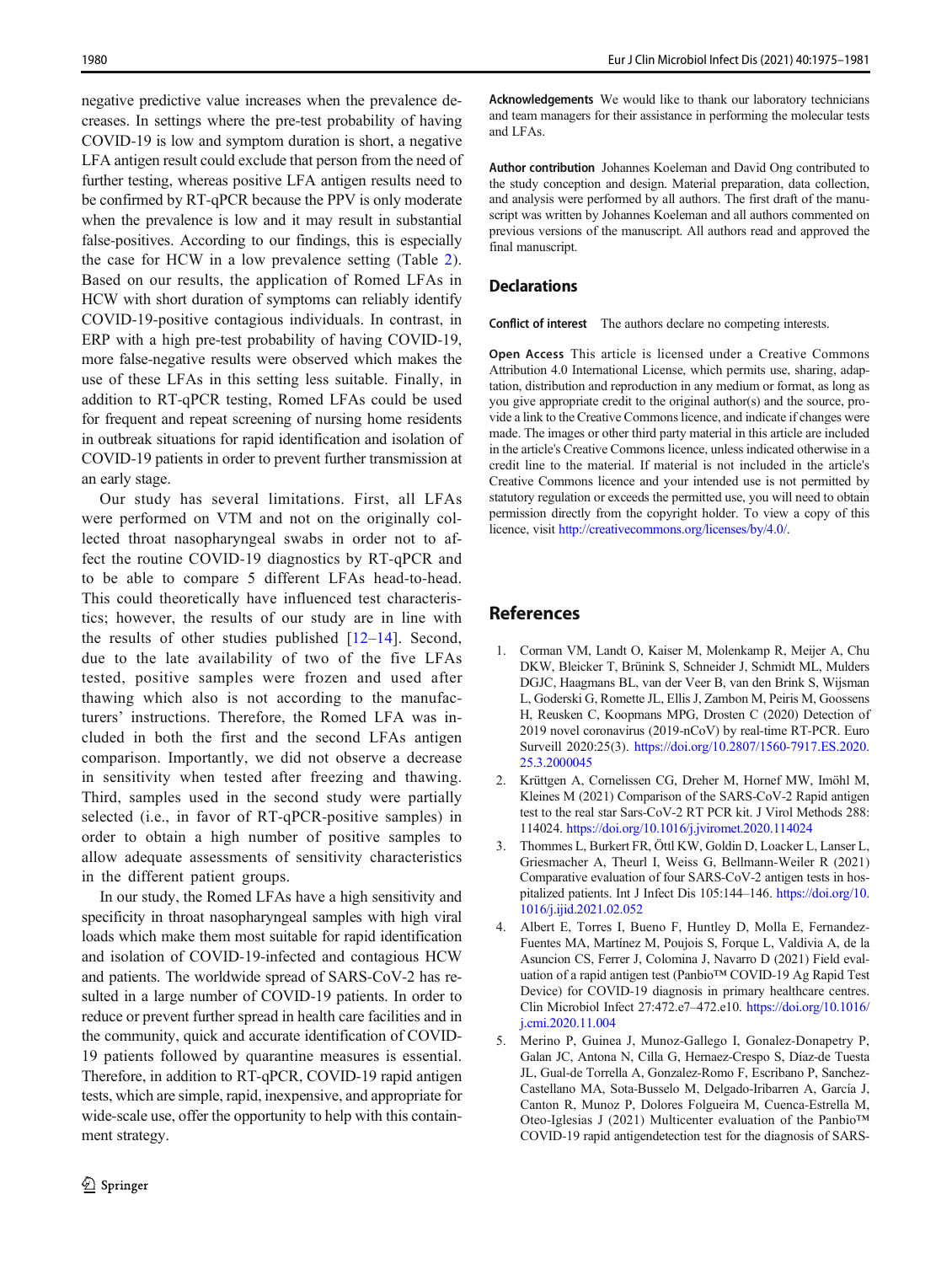<span id="page-5-0"></span>negative predictive value increases when the prevalence decreases. In settings where the pre-test probability of having COVID-19 is low and symptom duration is short, a negative LFA antigen result could exclude that person from the need of further testing, whereas positive LFA antigen results need to be confirmed by RT-qPCR because the PPV is only moderate when the prevalence is low and it may result in substantial false-positives. According to our findings, this is especially the case for HCW in a low prevalence setting (Table [2](#page-3-0)). Based on our results, the application of Romed LFAs in HCW with short duration of symptoms can reliably identify COVID-19-positive contagious individuals. In contrast, in ERP with a high pre-test probability of having COVID-19, more false-negative results were observed which makes the use of these LFAs in this setting less suitable. Finally, in addition to RT-qPCR testing, Romed LFAs could be used for frequent and repeat screening of nursing home residents in outbreak situations for rapid identification and isolation of COVID-19 patients in order to prevent further transmission at an early stage.

Our study has several limitations. First, all LFAs were performed on VTM and not on the originally collected throat nasopharyngeal swabs in order not to affect the routine COVID-19 diagnostics by RT-qPCR and to be able to compare 5 different LFAs head-to-head. This could theoretically have influenced test characteristics; however, the results of our study are in line with the results of other studies published  $[12–14]$  $[12–14]$  $[12–14]$ . Second, due to the late availability of two of the five LFAs tested, positive samples were frozen and used after thawing which also is not according to the manufacturers' instructions. Therefore, the Romed LFA was included in both the first and the second LFAs antigen comparison. Importantly, we did not observe a decrease in sensitivity when tested after freezing and thawing. Third, samples used in the second study were partially selected (i.e., in favor of RT-qPCR-positive samples) in order to obtain a high number of positive samples to allow adequate assessments of sensitivity characteristics in the different patient groups.

In our study, the Romed LFAs have a high sensitivity and specificity in throat nasopharyngeal samples with high viral loads which make them most suitable for rapid identification and isolation of COVID-19-infected and contagious HCW and patients. The worldwide spread of SARS-CoV-2 has resulted in a large number of COVID-19 patients. In order to reduce or prevent further spread in health care facilities and in the community, quick and accurate identification of COVID-19 patients followed by quarantine measures is essential. Therefore, in addition to RT-qPCR, COVID-19 rapid antigen tests, which are simple, rapid, inexpensive, and appropriate for wide-scale use, offer the opportunity to help with this containment strategy.

Acknowledgements We would like to thank our laboratory technicians and team managers for their assistance in performing the molecular tests and LFAs.

Author contribution Johannes Koeleman and David Ong contributed to the study conception and design. Material preparation, data collection, and analysis were performed by all authors. The first draft of the manuscript was written by Johannes Koeleman and all authors commented on previous versions of the manuscript. All authors read and approved the final manuscript.

## **Declarations**

Conflict of interest The authors declare no competing interests.

Open Access This article is licensed under a Creative Commons Attribution 4.0 International License, which permits use, sharing, adaptation, distribution and reproduction in any medium or format, as long as you give appropriate credit to the original author(s) and the source, provide a link to the Creative Commons licence, and indicate if changes were made. The images or other third party material in this article are included in the article's Creative Commons licence, unless indicated otherwise in a credit line to the material. If material is not included in the article's Creative Commons licence and your intended use is not permitted by statutory regulation or exceeds the permitted use, you will need to obtain permission directly from the copyright holder. To view a copy of this licence, visit <http://creativecommons.org/licenses/by/4.0/>.

# References

- 1. Corman VM, Landt O, Kaiser M, Molenkamp R, Meijer A, Chu DKW, Bleicker T, Brünink S, Schneider J, Schmidt ML, Mulders DGJC, Haagmans BL, van der Veer B, van den Brink S, Wijsman L, Goderski G, Romette JL, Ellis J, Zambon M, Peiris M, Goossens H, Reusken C, Koopmans MPG, Drosten C (2020) Detection of 2019 novel coronavirus (2019-nCoV) by real-time RT-PCR. Euro Surveill 2020:25(3). [https://doi.org/10.2807/1560-7917.ES.2020.](https://doi.org/10.2807/1560-7917.ES.2020.25.3.2000045) [25.3.2000045](https://doi.org/10.2807/1560-7917.ES.2020.25.3.2000045)
- 2. Krüttgen A, Cornelissen CG, Dreher M, Hornef MW, Imöhl M, Kleines M (2021) Comparison of the SARS-CoV-2 Rapid antigen test to the real star Sars-CoV-2 RT PCR kit. J Virol Methods 288: 114024. <https://doi.org/10.1016/j.jviromet.2020.114024>
- 3. Thommes L, Burkert FR, Öttl KW, Goldin D, Loacker L, Lanser L, Griesmacher A, Theurl I, Weiss G, Bellmann-Weiler R (2021) Comparative evaluation of four SARS-CoV-2 antigen tests in hospitalized patients. Int J Infect Dis 105:144–146. [https://doi.org/10.](https://doi.org/10.1016/j.ijid.2021.02.052) [1016/j.ijid.2021.02.052](https://doi.org/10.1016/j.ijid.2021.02.052)
- 4. Albert E, Torres I, Bueno F, Huntley D, Molla E, Fernandez-Fuentes MA, Martínez M, Poujois S, Forque L, Valdivia A, de la Asuncion CS, Ferrer J, Colomina J, Navarro D (2021) Field evaluation of a rapid antigen test (Panbio™ COVID-19 Ag Rapid Test Device) for COVID-19 diagnosis in primary healthcare centres. Clin Microbiol Infect 27:472.e7–472.e10. [https://doi.org/10.1016/](https://doi.org/10.1016/j.cmi.2020.11.004) [j.cmi.2020.11.004](https://doi.org/10.1016/j.cmi.2020.11.004)
- 5. Merino P, Guinea J, Munoz-Gallego I, Gonalez-Donapetry P, Galan JC, Antona N, Cilla G, Hernaez-Crespo S, Díaz-de Tuesta JL, Gual-de Torrella A, Gonzalez-Romo F, Escribano P, Sanchez-Castellano MA, Sota-Busselo M, Delgado-Iribarren A, García J, Canton R, Munoz P, Dolores Folgueira M, Cuenca-Estrella M, Oteo-Iglesias J (2021) Multicenter evaluation of the Panbio™ COVID-19 rapid antigendetection test for the diagnosis of SARS-